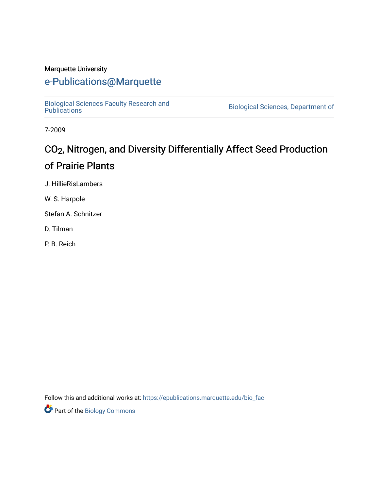#### Marquette University

## [e-Publications@Marquette](https://epublications.marquette.edu/)

[Biological Sciences Faculty Research and](https://epublications.marquette.edu/bio_fac) 

Biological Sciences, Department of

7-2009

## CO<sub>2</sub>, Nitrogen, and Diversity Differentially Affect Seed Production of Prairie Plants

J. HillieRisLambers

W. S. Harpole

Stefan A. Schnitzer

D. Tilman

P. B. Reich

Follow this and additional works at: [https://epublications.marquette.edu/bio\\_fac](https://epublications.marquette.edu/bio_fac?utm_source=epublications.marquette.edu%2Fbio_fac%2F715&utm_medium=PDF&utm_campaign=PDFCoverPages) 

**Part of the Biology Commons**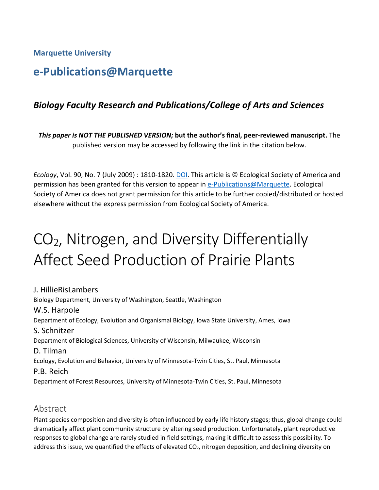**Marquette University**

## **e-Publications@Marquette**

### *Biology Faculty Research and Publications/College of Arts and Sciences*

*This paper is NOT THE PUBLISHED VERSION;* **but the author's final, peer-reviewed manuscript.** The published version may be accessed by following the link in the citation below.

*Ecology*, Vol. 90, No. 7 (July 2009) : 1810-1820[. DOI.](https://esajournals.onlinelibrary.wiley.com/doi/full/10.1890/07-1351.1) This article is © Ecological Society of America and permission has been granted for this version to appear in [e-Publications@Marquette.](http://epublications.marquette.edu/) Ecological Society of America does not grant permission for this article to be further copied/distributed or hosted elsewhere without the express permission from Ecological Society of America.

# CO2, Nitrogen, and Diversity Differentially Affect Seed Production of Prairie Plants

J. HillieRisLambers Biology Department, University of Washington, Seattle, Washington W.S. Harpole Department of Ecology, Evolution and Organismal Biology, Iowa State University, Ames, Iowa S. Schnitzer Department of Biological Sciences, University of Wisconsin, Milwaukee, Wisconsin D. Tilman Ecology, Evolution and Behavior, University of Minnesota-Twin Cities, St. Paul, Minnesota P.B. Reich Department of Forest Resources, University of Minnesota-Twin Cities, St. Paul, Minnesota

#### Abstract

Plant species composition and diversity is often influenced by early life history stages; thus, global change could dramatically affect plant community structure by altering seed production. Unfortunately, plant reproductive responses to global change are rarely studied in field settings, making it difficult to assess this possibility. To address this issue, we quantified the effects of elevated  $CO<sub>2</sub>$ , nitrogen deposition, and declining diversity on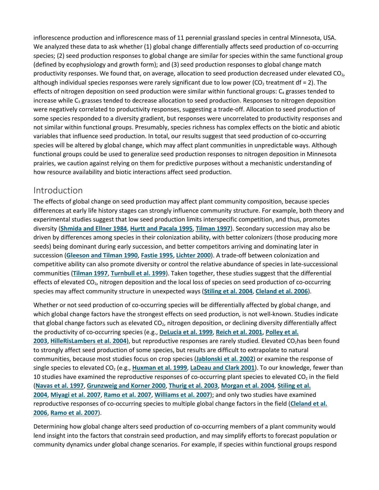inflorescence production and inflorescence mass of 11 perennial grassland species in central Minnesota, USA. We analyzed these data to ask whether (1) global change differentially affects seed production of co-occurring species; (2) seed production responses to global change are similar for species within the same functional group (defined by ecophysiology and growth form); and (3) seed production responses to global change match productivity responses. We found that, on average, allocation to seed production decreased under elevated  $CO<sub>2</sub>$ , although individual species responses were rarely significant due to low power ( $CO<sub>2</sub>$  treatment df = 2). The effects of nitrogen deposition on seed production were similar within functional groups:  $C_4$  grasses tended to increase while  $C_3$  grasses tended to decrease allocation to seed production. Responses to nitrogen deposition were negatively correlated to productivity responses, suggesting a trade-off. Allocation to seed production of some species responded to a diversity gradient, but responses were uncorrelated to productivity responses and not similar within functional groups. Presumably, species richness has complex effects on the biotic and abiotic variables that influence seed production. In total, our results suggest that seed production of co-occurring species will be altered by global change, which may affect plant communities in unpredictable ways. Although functional groups could be used to generalize seed production responses to nitrogen deposition in Minnesota prairies, we caution against relying on them for predictive purposes without a mechanistic understanding of how resource availability and biotic interactions affect seed production.

#### Introduction

The effects of global change on seed production may affect plant community composition, because species differences at early life history stages can strongly influence community structure. For example, both theory and experimental studies suggest that low seed production limits interspecific competition, and thus, promotes diversity (**[Shmida and Ellner 1984](https://esajournals.onlinelibrary.wiley.com/doi/full/10.1890/07-1351.1#i0012-9658-90-7-1810-Shmida1)**, **[Hurtt and Pacala 1995](https://esajournals.onlinelibrary.wiley.com/doi/full/10.1890/07-1351.1#i0012-9658-90-7-1810-Hurtt1)**, **[Tilman 1997](https://esajournals.onlinelibrary.wiley.com/doi/full/10.1890/07-1351.1#i0012-9658-90-7-1810-Tilman2)**). Secondary succession may also be driven by differences among species in their colonization ability, with better colonizers (those producing more seeds) being dominant during early succession, and better competitors arriving and dominating later in succession (**[Gleeson and Tilman 1990](https://esajournals.onlinelibrary.wiley.com/doi/full/10.1890/07-1351.1#i0012-9658-90-7-1810-Gleeson1)**, **[Fastie 1995](https://esajournals.onlinelibrary.wiley.com/doi/full/10.1890/07-1351.1#i0012-9658-90-7-1810-Fastie1)**, **[Lichter 2000](https://esajournals.onlinelibrary.wiley.com/doi/full/10.1890/07-1351.1#i0012-9658-90-7-1810-Lichter1)**). A trade-off between colonization and competitive ability can also promote diversity or control the relative abundance of species in late-successional communities (**[Tilman 1997](https://esajournals.onlinelibrary.wiley.com/doi/full/10.1890/07-1351.1#i0012-9658-90-7-1810-Tilman2)**, **[Turnbull et al. 1999](https://esajournals.onlinelibrary.wiley.com/doi/full/10.1890/07-1351.1#i0012-9658-90-7-1810-Turnbull1)**). Taken together, these studies suggest that the differential effects of elevated CO<sub>2</sub>, nitrogen deposition and the local loss of species on seed production of co-occurring species may affect community structure in unexpected ways (**[Stiling et al. 2004](https://esajournals.onlinelibrary.wiley.com/doi/full/10.1890/07-1351.1#i0012-9658-90-7-1810-Stiling1)**, **[Cleland et al. 2006](https://esajournals.onlinelibrary.wiley.com/doi/full/10.1890/07-1351.1#i0012-9658-90-7-1810-Cleland1)**).

Whether or not seed production of co-occurring species will be differentially affected by global change, and which global change factors have the strongest effects on seed production, is not well-known. Studies indicate that global change factors such as elevated CO<sub>2</sub>, nitrogen deposition, or declining diversity differentially affect the productivity of co-occurring species (e.g., **[DeLucia et al. 1999](https://esajournals.onlinelibrary.wiley.com/doi/full/10.1890/07-1351.1#i0012-9658-90-7-1810-DeLucia1)**, **[Reich et al. 2001](https://esajournals.onlinelibrary.wiley.com/doi/full/10.1890/07-1351.1#i0012-9658-90-7-1810-Reich3)**, **[Polley et al.](https://esajournals.onlinelibrary.wiley.com/doi/full/10.1890/07-1351.1#i0012-9658-90-7-1810-Polley1)  [2003](https://esajournals.onlinelibrary.wiley.com/doi/full/10.1890/07-1351.1#i0012-9658-90-7-1810-Polley1)**, **[HilleRisLambers et al. 2004](https://esajournals.onlinelibrary.wiley.com/doi/full/10.1890/07-1351.1#i0012-9658-90-7-1810-HilleRisLambers2)**), but reproductive responses are rarely studied. Elevated CO<sub>2</sub>has been found to strongly affect seed production of some species, but results are difficult to extrapolate to natural communities, because most studies focus on crop species (**[Jablonski et al. 2002](https://esajournals.onlinelibrary.wiley.com/doi/full/10.1890/07-1351.1#i0012-9658-90-7-1810-Jablonski1)**) or examine the response of single species to elevated CO<sub>2</sub> (e.g., [Huxman et al. 1999](https://esajournals.onlinelibrary.wiley.com/doi/full/10.1890/07-1351.1#i0012-9658-90-7-1810-Huxman1), [LaDeau and Clark 2001](https://esajournals.onlinelibrary.wiley.com/doi/full/10.1890/07-1351.1#i0012-9658-90-7-1810-LaDeau1)). To our knowledge, fewer than 10 studies have examined the reproductive responses of co-occurring plant species to elevated  $CO<sub>2</sub>$  in the field (**[Navas et al. 1997](https://esajournals.onlinelibrary.wiley.com/doi/full/10.1890/07-1351.1#i0012-9658-90-7-1810-Navas1)**, **[Grunzweig and Korner 2000](https://esajournals.onlinelibrary.wiley.com/doi/full/10.1890/07-1351.1#i0012-9658-90-7-1810-Grunzweig1)**, **[Thurig et al. 2003](https://esajournals.onlinelibrary.wiley.com/doi/full/10.1890/07-1351.1#i0012-9658-90-7-1810-Thurig1)**, **[Morgan et al. 2004](https://esajournals.onlinelibrary.wiley.com/doi/full/10.1890/07-1351.1#i0012-9658-90-7-1810-Morgan1)**, **[Stiling et al.](https://esajournals.onlinelibrary.wiley.com/doi/full/10.1890/07-1351.1#i0012-9658-90-7-1810-Stiling1)  [2004](https://esajournals.onlinelibrary.wiley.com/doi/full/10.1890/07-1351.1#i0012-9658-90-7-1810-Stiling1)**, **[Miyagi et al. 2007](https://esajournals.onlinelibrary.wiley.com/doi/full/10.1890/07-1351.1#i0012-9658-90-7-1810-Miyagi1)**, **[Ramo et al. 2007](https://esajournals.onlinelibrary.wiley.com/doi/full/10.1890/07-1351.1#i0012-9658-90-7-1810-Ramo1)**, **[Williams et al. 2007](https://esajournals.onlinelibrary.wiley.com/doi/full/10.1890/07-1351.1#i0012-9658-90-7-1810-Williams1)**); and only two studies have examined reproductive responses of co-occurring species to multiple global change factors in the field (**[Cleland et al.](https://esajournals.onlinelibrary.wiley.com/doi/full/10.1890/07-1351.1#i0012-9658-90-7-1810-Cleland1)  [2006](https://esajournals.onlinelibrary.wiley.com/doi/full/10.1890/07-1351.1#i0012-9658-90-7-1810-Cleland1)**, **[Ramo et al. 2007](https://esajournals.onlinelibrary.wiley.com/doi/full/10.1890/07-1351.1#i0012-9658-90-7-1810-Ramo1)**).

Determining how global change alters seed production of co-occurring members of a plant community would lend insight into the factors that constrain seed production, and may simplify efforts to forecast population or community dynamics under global change scenarios. For example, if species within functional groups respond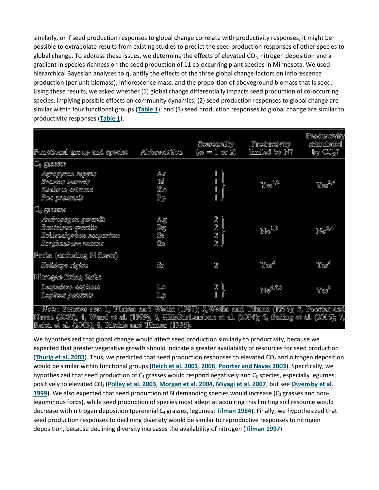similarly, or if seed production responses to global change correlate with productivity responses, it might be possible to extrapolate results from existing studies to predict the seed production responses of other species to global change. To address these issues, we determine the effects of elevated  $CO<sub>2</sub>$ , nitrogen deposition and a gradient in species richness on the seed production of 11 co-occurring plant species in Minnesota. We used hierarchical Bayesian analyses to quantify the effects of the three global change factors on inflorescence production (per unit biomass), inflorescence mass, and the proportion of aboveground biomass that is seed. Using these results, we asked whether (1) global change differentially impacts seed production of co-occurring species, implying possible effects on community dynamics; (2) seed production responses to global change are similar within four functional groups (**[Table 1](https://esajournals.onlinelibrary.wiley.com/doi/full/10.1890/07-1351.1#i0012-9658-90-7-1810-t01)**); and (3) seed production responses to global change are similar to productivity responses (**[Table 1](https://esajournals.onlinelibrary.wiley.com/doi/full/10.1890/07-1351.1#i0012-9658-90-7-1810-t01)**).

| Functional group and species                                                                                                                                                                              | Abbrevistion                                 | Seasonality<br>$(m=1 \text{ or } 2)$     | Productivity<br>limited by N? | Productivity<br>stimulated<br>by $CO2$ ? |
|-----------------------------------------------------------------------------------------------------------------------------------------------------------------------------------------------------------|----------------------------------------------|------------------------------------------|-------------------------------|------------------------------------------|
| C3 grasses                                                                                                                                                                                                |                                              |                                          |                               |                                          |
| Agropyron repens<br>Broman inermit<br>Koelerts ortstats<br>Pos pratencia                                                                                                                                  | Áiř<br>Bí<br>Kc<br>$\mathbb{P}_{\mathbb{P}}$ | 1<br>1<br>1                              | $Y \otimes$ <sup>12</sup>     |                                          |
| C <sub>4</sub> grasses                                                                                                                                                                                    |                                              |                                          |                               |                                          |
| Ardropogon gerardit<br>Boutelous gracilis<br>Schizachyrium scoparium.<br>Sorghautrum mulans                                                                                                               | Ag<br>Bg<br>Sī<br>Ŝn                         | 2<br>$\frac{2}{2}$<br>$\hat{\mathbb{Z}}$ | $N_0$ <sup>1.2</sup>          | No <sup>34</sup>                         |
| Forke (excluding N fixers)                                                                                                                                                                                |                                              |                                          |                               |                                          |
| Solidago rigida                                                                                                                                                                                           | Sr                                           | $\hat{\mathbb{Z}}$                       | Yœ                            | Yez                                      |
| Nitrogen-fizing forbs                                                                                                                                                                                     |                                              |                                          |                               |                                          |
| Lespedeza capitata<br>Lupinus perennis                                                                                                                                                                    | Lc<br>$\mathbb{L}\mathbb{R}$                 | $\frac{2}{1}$                            | No <sup>6,7,3</sup>           | Ye:                                      |
| <i>Note: S</i> ources are: 1, Tilmam and Wedin (1991); 2,Wedin and Tilman (1993); 3, Poorter and<br>Klesser (2000): 1 Winnel at all (1000): 5 UTIADfall smlager at all (2004): 6 Craffma at all (2005): 7 |                                              |                                          |                               |                                          |

reaves (2003); 4, weak to all (1999); 3, malatak.<br>Reich et al. (2003); 3, Ritchie and Tibman (1995).

We hypothesized that global change would affect seed production similarly to productivity, because we expected that greater vegetative growth should indicate a greater availability of resources for seed production ([Thurig et al. 2003](https://esajournals.onlinelibrary.wiley.com/doi/full/10.1890/07-1351.1#i0012-9658-90-7-1810-Thurig1)). Thus, we predicted that seed production responses to elevated CO<sub>2</sub> and nitrogen deposition would be similar within functional groups (**[Reich et al. 2001](https://esajournals.onlinelibrary.wiley.com/doi/full/10.1890/07-1351.1#i0012-9658-90-7-1810-Reich3)**, **[2006](https://esajournals.onlinelibrary.wiley.com/doi/full/10.1890/07-1351.1#i0012-9658-90-7-1810-Reich2)**, **[Poorter and Navas 2003](https://esajournals.onlinelibrary.wiley.com/doi/full/10.1890/07-1351.1#i0012-9658-90-7-1810-Poorter1)**). Specifically, we hypothesized that seed production of  $C_4$  grasses would respond negatively and  $C_3$  species, especially legumes, positively to elevated CO<sub>2</sub> ([Polley et al. 2003](https://esajournals.onlinelibrary.wiley.com/doi/full/10.1890/07-1351.1#i0012-9658-90-7-1810-Polley1), [Morgan et al. 2004](https://esajournals.onlinelibrary.wiley.com/doi/full/10.1890/07-1351.1#i0012-9658-90-7-1810-Morgan1), [Miyagi et al. 2007](https://esajournals.onlinelibrary.wiley.com/doi/full/10.1890/07-1351.1#i0012-9658-90-7-1810-Miyagi1); but see Owensby et al. **[1999](https://esajournals.onlinelibrary.wiley.com/doi/full/10.1890/07-1351.1#i0012-9658-90-7-1810-Owensby1)**). We also expected that seed production of N demanding species would increase ( $C_3$  grasses and nonleguminous forbs), while seed production of species most adept at acquiring this limiting soil resource would decrease with nitrogen deposition (perennial C4 grasses, legumes; **[Tilman 1984](https://esajournals.onlinelibrary.wiley.com/doi/full/10.1890/07-1351.1#i0012-9658-90-7-1810-Tilman1)**). Finally, we hypothesized that seed production responses to declining diversity would be similar to reproductive responses to nitrogen deposition, because declining diversity increases the availability of nitrogen (**[Tilman 1997](https://esajournals.onlinelibrary.wiley.com/doi/full/10.1890/07-1351.1#i0012-9658-90-7-1810-Tilman2)**).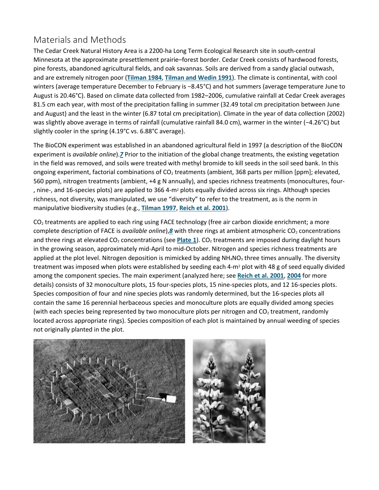## Materials and Methods

The Cedar Creek Natural History Area is a 2200-ha Long Term Ecological Research site in south-central Minnesota at the approximate presettlement prairie–forest border. Cedar Creek consists of hardwood forests, pine forests, abandoned agricultural fields, and oak savannas. Soils are derived from a sandy glacial outwash, and are extremely nitrogen poor (**[Tilman 1984](https://esajournals.onlinelibrary.wiley.com/doi/full/10.1890/07-1351.1#i0012-9658-90-7-1810-Tilman1)**, **[Tilman and Wedin 1991](https://esajournals.onlinelibrary.wiley.com/doi/full/10.1890/07-1351.1#i0012-9658-90-7-1810-Tilman3)**). The climate is continental, with cool winters (average temperature December to February is −8.45°C) and hot summers (average temperature June to August is 20.46°C). Based on climate data collected from 1982–2006, cumulative rainfall at Cedar Creek averages 81.5 cm each year, with most of the precipitation falling in summer (32.49 total cm precipitation between June and August) and the least in the winter (6.87 total cm precipitation). Climate in the year of data collection (2002) was slightly above average in terms of rainfall (cumulative rainfall 84.0 cm), warmer in the winter (−4.26°C) but slightly cooler in the spring (4.19°C vs. 6.88°C average).

The BioCON experiment was established in an abandoned agricultural field in 1997 (a description of the BioCON experiment is *available online*).*[7](https://esajournals.onlinelibrary.wiley.com/doi/full/10.1890/07-1351.1#fn1)* Prior to the initiation of the global change treatments, the existing vegetation in the field was removed, and soils were treated with methyl bromide to kill seeds in the soil seed bank. In this ongoing experiment, factorial combinations of  $CO<sub>2</sub>$  treatments (ambient, 368 parts per million [ppm]; elevated, 560 ppm), nitrogen treatments (ambient, +4 g N annually), and species richness treatments (monocultures, four‐ , nine-, and 16-species plots) are applied to 366 4-m2 plots equally divided across six rings. Although species richness, not diversity, was manipulated, we use "diversity" to refer to the treatment, as is the norm in manipulative biodiversity studies (e.g., **[Tilman 1997](https://esajournals.onlinelibrary.wiley.com/doi/full/10.1890/07-1351.1#i0012-9658-90-7-1810-Tilman2)**, **[Reich et al. 2001](https://esajournals.onlinelibrary.wiley.com/doi/full/10.1890/07-1351.1#i0012-9658-90-7-1810-Reich3)**).

 $CO<sub>2</sub>$  treatments are applied to each ring using FACE technology (free air carbon dioxide enrichment; a more complete description of FACE is *available online*),*[8](https://esajournals.onlinelibrary.wiley.com/doi/full/10.1890/07-1351.1#fn2)* with three rings at ambient atmospheric CO<sub>2</sub> concentrations and three rings at elevated CO<sub>2</sub> concentrations (see [Plate 1](https://esajournals.onlinelibrary.wiley.com/doi/full/10.1890/07-1351.1#i0012-9658-90-7-1810-f1001)). CO<sub>2</sub> treatments are imposed during daylight hours in the growing season, approximately mid-April to mid-October. Nitrogen and species richness treatments are applied at the plot level. Nitrogen deposition is mimicked by adding  $NH_4NO_3$  three times annually. The diversity treatment was imposed when plots were established by seeding each 4-m<sup>2</sup> plot with 48 g of seed equally divided among the component species. The main experiment (analyzed here; see **[Reich et al. 2001](https://esajournals.onlinelibrary.wiley.com/doi/full/10.1890/07-1351.1#i0012-9658-90-7-1810-Reich3)**, **[2004](https://esajournals.onlinelibrary.wiley.com/doi/full/10.1890/07-1351.1#i0012-9658-90-7-1810-Reich4)** for more details) consists of 32 monoculture plots, 15 four‐species plots, 15 nine‐species plots, and 12 16‐species plots. Species composition of four and nine species plots was randomly determined, but the 16-species plots all contain the same 16 perennial herbaceous species and monoculture plots are equally divided among species (with each species being represented by two monoculture plots per nitrogen and  $CO<sub>2</sub>$  treatment, randomly located across appropriate rings). Species composition of each plot is maintained by annual weeding of species not originally planted in the plot.

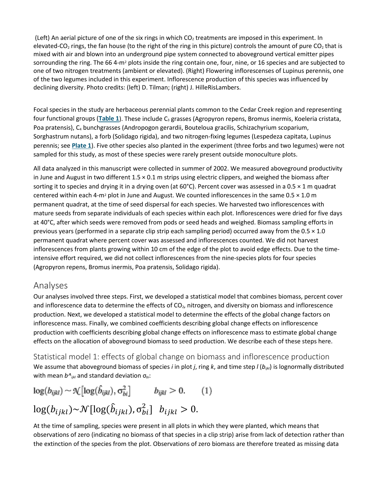(Left) An aerial picture of one of the six rings in which  $CO<sub>2</sub>$  treatments are imposed in this experiment. In elevated-CO<sub>2</sub> rings, the fan house (to the right of the ring in this picture) controls the amount of pure CO<sub>2</sub> that is mixed with air and blown into an underground pipe system connected to aboveground vertical emitter pipes sorrounding the ring. The 66 4-m<sup>2</sup> plots inside the ring contain one, four, nine, or 16 species and are subjected to one of two nitrogen treatments (ambient or elevated). (Right) Flowering inflorescenses of Lupinus perennis, one of the two legumes included in this experiment. Inflorescence production of this species was influenced by declining diversity. Photo credits: (left) D. Tilman; (right) J. HilleRisLambers.

Focal species in the study are herbaceous perennial plants common to the Cedar Creek region and representing four functional groups ([Table 1](https://esajournals.onlinelibrary.wiley.com/doi/full/10.1890/07-1351.1#i0012-9658-90-7-1810-t01)). These include C<sub>3</sub> grasses (Agropyron repens, Bromus inermis, Koeleria cristata, Poa pratensis), C4 bunchgrasses (Andropogon gerardii, Bouteloua gracilis, Schizachyrium scoparium, Sorghastrum nutans), a forb (Solidago rigida), and two nitrogen-fixing legumes (Lespedeza capitata, Lupinus perennis; see **[Plate 1](https://esajournals.onlinelibrary.wiley.com/doi/full/10.1890/07-1351.1#i0012-9658-90-7-1810-f1001)**). Five other species also planted in the experiment (three forbs and two legumes) were not sampled for this study, as most of these species were rarely present outside monoculture plots.

All data analyzed in this manuscript were collected in summer of 2002. We measured aboveground productivity in June and August in two different  $1.5 \times 0.1$  m strips using electric clippers, and weighed the biomass after sorting it to species and drying it in a drying oven (at 60°C). Percent cover was assessed in a 0.5  $\times$  1 m quadrat centered within each 4-m<sup>2</sup> plot in June and August. We counted inflorescences in the same  $0.5 \times 1.0$  m permanent quadrat, at the time of seed dispersal for each species. We harvested two inflorescences with mature seeds from separate individuals of each species within each plot. Inflorescences were dried for five days at 40°C, after which seeds were removed from pods or seed heads and weighed. Biomass sampling efforts in previous years (performed in a separate clip strip each sampling period) occurred away from the 0.5 × 1.0 permanent quadrat where percent cover was assessed and inflorescences counted. We did not harvest inflorescences from plants growing within 10 cm of the edge of the plot to avoid edge effects. Due to the timeintensive effort required, we did not collect inflorescences from the nine-species plots for four species (Agropyron repens, Bromus inermis, Poa pratensis, Solidago rigida).

#### Analyses

Our analyses involved three steps. First, we developed a statistical model that combines biomass, percent cover and inflorescence data to determine the effects of  $CO<sub>2</sub>$ , nitrogen, and diversity on biomass and inflorescence production. Next, we developed a statistical model to determine the effects of the global change factors on inflorescence mass. Finally, we combined coefficients describing global change effects on inflorescence production with coefficients describing global change effects on inflorescence mass to estimate global change effects on the allocation of aboveground biomass to seed production. We describe each of these steps here.

Statistical model 1: effects of global change on biomass and inflorescence production We assume that aboveground biomass of species *i* in plot *j*, ring *k*, and time step *l* (*b<sub>ikl</sub>*) is lognormally distributed with mean *b*<sup> $Λ$ <sub>ijkl</sub> and standard deviation σ<sub>*bi*</sub>:</sup>

 $log(b_{ijkl}) \sim \mathcal{K}[log(\hat{b}_{ijkl}), \sigma_{bi}^2]$   $b_{ijkl} > 0.$  (1)  $log(b_{ijkl}) \sim \mathcal{N}[log(\hat{b}_{ijkl}), \sigma_{bi}^2]$   $b_{ijkl} > 0$ .

At the time of sampling, species were present in all plots in which they were planted, which means that observations of zero (indicating no biomass of that species in a clip strip) arise from lack of detection rather than the extinction of the species from the plot. Observations of zero biomass are therefore treated as missing data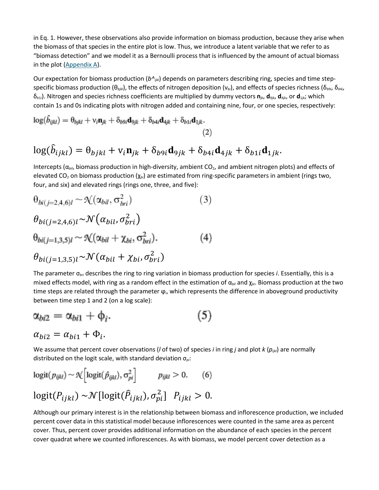in Eq. 1. However, these observations also provide information on biomass production, because they arise when the biomass of that species in the entire plot is low. Thus, we introduce a latent variable that we refer to as "biomass detection" and we model it as a Bernoulli process that is influenced by the amount of actual biomass in the plot [\(Appendix A\)](https://esajournals.onlinelibrary.wiley.com/doi/full/10.1890/07-1351.1#appA).

Our expectation for biomass production (*b^ijkl*) depends on parameters describing ring, species and time stepspecific biomass production (θ*bjkl*), the effects of nitrogen deposition (ν*bi*), and effects of species richness (δ*<sup>b</sup>*9*<sup>i</sup>*, δ*<sup>b</sup>*4*<sup>i</sup>*, δ*<sup>b</sup>*1*<sup>i</sup>*). Nitrogen and species richness coefficients are multiplied by dummy vectors **n***jk*, **d**9*jk*, **d**4*jk*, or **d**1*jk*; which contain 1s and 0s indicating plots with nitrogen added and containing nine, four, or one species, respectively:

$$
\log(\hat{b}_{ijkl}) = \theta_{bjkl} + \nu_i \mathbf{n}_{jk} + \delta_{b9i} \mathbf{d}_{9jk} + \delta_{b4i} \mathbf{d}_{4jk} + \delta_{b1i} \mathbf{d}_{1jk}.
$$
\n(2)

$$
\log(\hat{b}_{ijkl}) = \theta_{bjkl} + \mathbf{v}_i \mathbf{n}_{jk} + \delta_{bjkl} \mathbf{d}_{9jk} + \delta_{b4i} \mathbf{d}_{4jk} + \delta_{b1i} \mathbf{d}_{1jk}.
$$

Intercepts (α<sub>bil</sub>, biomass production in high-diversity, ambient CO<sub>2</sub>, and ambient nitrogen plots) and effects of elevated CO2 on biomass production (χ*bi*) are estimated from ring-specific parameters in ambient (rings two, four, and six) and elevated rings (rings one, three, and five):

$$
\theta_{bi(j=2,4,6)l} \sim \mathcal{N}(\alpha_{bil}, \sigma_{bri}^2)
$$
(3)  

$$
\theta_{bi(j=2,4,6)l} \sim \mathcal{N}(\alpha_{bil}, \sigma_{bri}^2)
$$
  

$$
\theta_{bi(j=1,3,5)l} \sim \mathcal{N}(\alpha_{bil} + \chi_{bi}, \sigma_{bri}^2).
$$
(4)  

$$
\theta_{bi(j=1,3,5)l} \sim \mathcal{N}(\alpha_{bil} + \chi_{bi}, \sigma_{bri}^2)
$$

The parameter σ*bri* describes the ring to ring variation in biomass production for species *i*. Essentially, this is a mixed effects model, with ring as a random effect in the estimation of α<sub>bil</sub> and χ<sub>bi</sub>. Biomass production at the two time steps are related through the parameter ϕ*i*, which represents the difference in aboveground productivity between time step 1 and 2 (on a log scale):

$$
\alpha_{bi2} = \alpha_{bi1} + \phi_i.
$$
  
\n
$$
\alpha_{bi2} = \alpha_{bi1} + \phi_i.
$$
\n(5)

We assume that percent cover observations (*l* of two) of species *i* in ring *j* and plot *k* (*pijkl*) are normally distributed on the logit scale, with standard deviation σ*pi*:

$$
logit(p_{ijkl}) \sim \mathcal{K}\Big[logit(\hat{p}_{ijkl}), \sigma_{pi}^2\Big] \qquad p_{ijkl} > 0. \qquad (6)
$$

$$
logit(P_{ijkl}) \sim \mathcal{N}[logit(\hat{P}_{ijkl}), \sigma_{pi}^2] \quad P_{ijkl} > 0.
$$

Although our primary interest is in the relationship between biomass and inflorescence production, we included percent cover data in this statistical model because inflorescences were counted in the same area as percent cover. Thus, percent cover provides additional information on the abundance of each species in the percent cover quadrat where we counted inflorescences. As with biomass, we model percent cover detection as a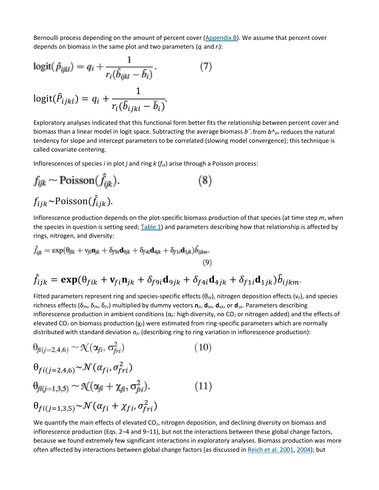Bernoulli process depending on the amount of percent cover [\(Appendix B\)](https://esajournals.onlinelibrary.wiley.com/doi/full/10.1890/07-1351.1#appB). We assume that percent cover depends on biomass in the same plot and two parameters (*qi* and *ri*):

$$
logit(\hat{p}_{ijkl}) = q_i + \frac{1}{r_i(\hat{b}_{ijkl} - \bar{b}_i)}.
$$
  

$$
logit(\hat{P}_{ijkl}) = q_i + \frac{1}{r_i(\hat{b}_{ijkl} - \bar{b}_i)}.
$$
 (7)

Exploratory analyses indicated that this functional form better fits the relationship between percent cover and biomass than a linear model in logit space. Subtracting the average biomass *b¯i* from *b^ijkl* reduces the natural tendency for slope and intercept parameters to be correlated (slowing model convergence); this technique is called covariate centering.

Inflorescences of species *i* in plot *j* and ring *k* (*fijk*) arise through a Poisson process:

$$
f_{ijk} \sim \text{Poisson}(\hat{f}_{ijk}).
$$
\n
$$
f_{ijk} \sim \text{Poisson}(\hat{f}_{ijk}).
$$
\n(8)

Inflorescence production depends on the plot-specific biomass production of that species (at time step *m*, when the species in question is setting seed;  $Table 1$ ) and parameters describing how that relationship is affected by rings, nitrogen, and diversity:

$$
\hat{f}_{ijk} = \exp(\theta_{fik} + \nu_{fi}\mathbf{n}_{jk} + \delta_{f9i}\mathbf{d}_{9jk} + \delta_{f4i}\mathbf{d}_{4jk} + \delta_{f1i}\mathbf{d}_{1jk})\hat{b}_{ijkm}.
$$
\n(9)\n
$$
\hat{f}_{ijk} = \exp(\theta_{fik} + \mathbf{V}_{fi}\mathbf{n}_{jk} + \delta_{f9i}\mathbf{d}_{9jk} + \delta_{f4i}\mathbf{d}_{4jk} + \delta_{f1i}\mathbf{d}_{1jk})\hat{b}_{ijkm}.
$$

Fitted parameters represent ring and species‐specific effects (θ*fik*), nitrogen deposition effects (ν*fi*), and species richness effects (δ*<sup>f</sup>*9*<sup>i</sup>*, δ*<sup>f</sup>*4*<sup>i</sup>*, δ*<sup>f</sup>*1*<sup>i</sup>*) multiplied by dummy vectors **n***jk*, **d**9*jk*, **d**4*jk*, or **d**1*jk*. Parameters describing inflorescence production in ambient conditions  $(\alpha_{fi}:$  high diversity, no CO<sub>2</sub> or nitrogen added) and the effects of elevated CO2 on biomass production (χ*fi*) were estimated from ring-specific parameters which are normally distributed with standard deviation σ*fri* (describing ring to ring variation in inflorescence production):

$$
\theta_{fi(j=2,4,6)} \sim \mathcal{N}(\alpha_{fi}, \sigma_{fri}^2)
$$
\n
$$
\theta_{fi(j=2,4,6)} \sim \mathcal{N}(\alpha_{fi}, \sigma_{fri}^2)
$$
\n
$$
\theta_{fi(j=1,3,5)} \sim \mathcal{N}(\alpha_{fi} + \chi_{fi}, \sigma_{fri}^2).
$$
\n
$$
\theta_{fi(j=1,3,5)} \sim \mathcal{N}(\alpha_{fi} + \chi_{fi}, \sigma_{fri}^2)
$$
\n(11)

We quantify the main effects of elevated  $CO<sub>2</sub>$ , nitrogen deposition, and declining diversity on biomass and inflorescence production (Eqs. 2–4 and 9–11), but not the interactions between these global change factors, because we found extremely few significant interactions in exploratory analyses. Biomass production was more often affected by interactions between global change factors (as discussed in [Reich et al. 2001,](https://esajournals.onlinelibrary.wiley.com/doi/full/10.1890/07-1351.1#i0012-9658-90-7-1810-Reich3) [2004\)](https://esajournals.onlinelibrary.wiley.com/doi/full/10.1890/07-1351.1#i0012-9658-90-7-1810-Reich4); but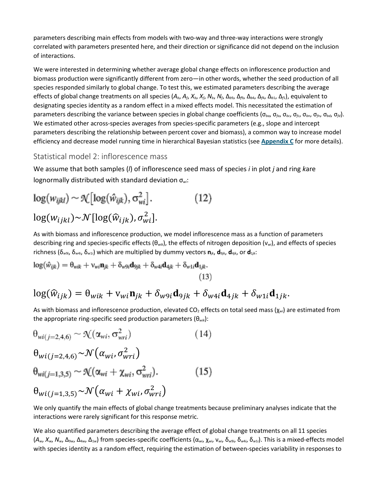parameters describing main effects from models with two-way and three-way interactions were strongly correlated with parameters presented here, and their direction or significance did not depend on the inclusion of interactions.

We were interested in determining whether average global change effects on inflorescence production and biomass production were significantly different from zero—in other words, whether the seed production of all species responded similarly to global change. To test this, we estimated parameters describing the average effects of global change treatments on all species  $(A_b, A_b, X_b, X_b, N_b, N_f, \Delta_{b9}, \Delta_{b9}, \Delta_{b4}, \Delta_{b1}, \Delta_{b1})$ , equivalent to designating species identity as a random effect in a mixed effects model. This necessitated the estimation of parameters describing the variance between species in global change coefficients (σ<sub>*ba*</sub>, σ<sub>*fa*</sub>, σ<sub>*fa*</sub>, σ<sub>*fa*</sub>, σ<sub>*fa*</sub>, σ<sub>*fa*</sub>, σ<sub>*fa*</sub>, σ<sub>*fa*</sub>, σ<sub>*fa*</sub>, σ<sub>*fa*</sub>, σ<sub>*fa*</sub> We estimated other across-species averages from species-specific parameters (e.g., slope and intercept parameters describing the relationship between percent cover and biomass), a common way to increase model efficiency and decrease model running time in hierarchical Bayesian statistics (see **[Appendix C](https://esajournals.onlinelibrary.wiley.com/doi/full/10.1890/07-1351.1#appC)** for more details).

Statistical model 2: inflorescence mass

We assume that both samples (*l*) of inflorescence seed mass of species *i* in plot *j* and ring *k*are lognormally distributed with standard deviation σ*wi*:

$$
\log(w_{ijkl}) \sim \mathcal{K}[\log(\hat{w}_{ijk}), \sigma_{wi}^2]. \qquad (12)
$$

$$
\log(w_{ijkl}) \sim \mathcal{N}[\log(\hat{w}_{ijk}), \sigma_{wi}^2].
$$

As with biomass and inflorescence production, we model inflorescence mass as a function of parameters describing ring and species‐specific effects (θ*wik*), the effects of nitrogen deposition (ν*wi*), and effects of species richness (δ*<sup>w</sup>*9*<sup>i</sup>*, δ*<sup>w</sup>*4*<sup>i</sup>*, δ*<sup>w</sup>*1*<sup>i</sup>*) which are multiplied by dummy vectors **n***jk*, **d**9*jk*, **d**4*jk*, or **d**1*jk*:

$$
\log(\hat{w}_{ijk}) = \theta_{wik} + \nu_{wi}\mathbf{n}_{jk} + \delta_{w9i}\mathbf{d}_{9jk} + \delta_{w4i}\mathbf{d}_{4jk} + \delta_{w1i}\mathbf{d}_{1jk}.
$$
\n(13)

$$
\log(\widehat{w}_{ijk}) = \theta_{wik} + \mathbf{v}_{wi}\mathbf{n}_{jk} + \delta_{w9i}\mathbf{d}_{9jk} + \delta_{w4i}\mathbf{d}_{4jk} + \delta_{w1i}\mathbf{d}_{1jk}.
$$

As with biomass and inflorescence production, elevated CO<sub>2</sub> effects on total seed mass (χ<sub>wi</sub>) are estimated from the appropriate ring‐specific seed production parameters (θ*wik*):

$$
\theta_{wi(j=2,4,6)} \sim \mathcal{N}(\alpha_{wi}, \sigma_{wri}^2)
$$
\n
$$
\theta_{wi(j=2,4,6)} \sim \mathcal{N}(\alpha_{wi}, \sigma_{wri}^2)
$$
\n
$$
\theta_{wi(j=1,3,5)} \sim \mathcal{N}(\alpha_{wi} + \chi_{wi}, \sigma_{wri}^2).
$$
\n
$$
\theta_{wi(j=1,3,5)} \sim \mathcal{N}(\alpha_{wi} + \chi_{wi}, \sigma_{wri}^2)
$$
\n(15)

We only quantify the main effects of global change treatments because preliminary analyses indicate that the interactions were rarely significant for this response metric.

We also quantified parameters describing the average effect of global change treatments on all 11 species  $(A_w, X_w, N_w, \Delta_{3w}, \Delta_{4w}, \Delta_{1w})$  from species-specific coefficients  $(\alpha_{wi}, \chi_{wi}, \nu_{wi}, \delta_{w3i}, \delta_{wa1i}, \delta_{w1i})$ . This is a mixed-effects model with species identity as a random effect, requiring the estimation of between-species variability in responses to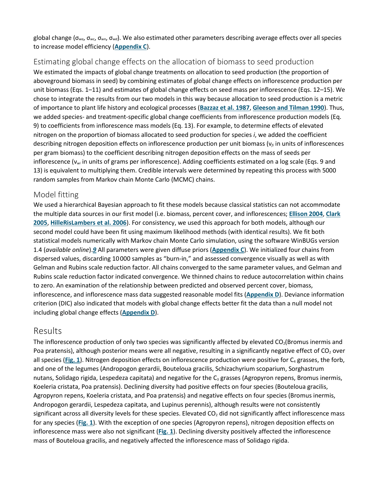global change (σ*wa*, σ*wc*, σ*wn*, σ*wd*). We also estimated other parameters describing average effects over all species to increase model efficiency (**[Appendix C](https://esajournals.onlinelibrary.wiley.com/doi/full/10.1890/07-1351.1#appC)**).

#### Estimating global change effects on the allocation of biomass to seed production

We estimated the impacts of global change treatments on allocation to seed production (the proportion of aboveground biomass in seed) by combining estimates of global change effects on inflorescence production per unit biomass (Eqs. 1–11) and estimates of global change effects on seed mass per inflorescence (Eqs. 12–15). We chose to integrate the results from our two models in this way because allocation to seed production is a metric of importance to plant life history and ecological processes (**[Bazzaz et al. 1987](https://esajournals.onlinelibrary.wiley.com/doi/full/10.1890/07-1351.1#i0012-9658-90-7-1810-Bazzaz1)**, **[Gleeson and Tilman 1990](https://esajournals.onlinelibrary.wiley.com/doi/full/10.1890/07-1351.1#i0012-9658-90-7-1810-Gleeson1)**). Thus, we added species- and treatment-specific global change coefficients from inflorescence production models (Eq. 9) to coefficients from inflorescence mass models (Eq. 13). For example, to determine effects of elevated nitrogen on the proportion of biomass allocated to seed production for species *i*, we added the coefficient describing nitrogen deposition effects on inflorescence production per unit biomass (ν*fi* in units of inflorescences per gram biomass) to the coefficient describing nitrogen deposition effects on the mass of seeds per inflorescence (ν*wi* in units of grams per inflorescence). Adding coefficients estimated on a log scale (Eqs. 9 and 13) is equivalent to multiplying them. Credible intervals were determined by repeating this process with 5000 random samples from Markov chain Monte Carlo (MCMC) chains.

#### Model fitting

We used a hierarchical Bayesian approach to fit these models because classical statistics can not accommodate the multiple data sources in our first model (i.e. biomass, percent cover, and inflorescences; **[Ellison 2004](https://esajournals.onlinelibrary.wiley.com/doi/full/10.1890/07-1351.1#i0012-9658-90-7-1810-Ellison1)**, **[Clark](https://esajournals.onlinelibrary.wiley.com/doi/full/10.1890/07-1351.1#i0012-9658-90-7-1810-Clark1)  [2005](https://esajournals.onlinelibrary.wiley.com/doi/full/10.1890/07-1351.1#i0012-9658-90-7-1810-Clark1)**, **[HilleRisLambers et al. 2006](https://esajournals.onlinelibrary.wiley.com/doi/full/10.1890/07-1351.1#i0012-9658-90-7-1810-HilleRisLambers1)**). For consistency, we used this approach for both models, although our second model could have been fit using maximum likelihood methods (with identical results). We fit both statistical models numerically with Markov chain Monte Carlo simulation, using the software WinBUGs version 1.4 (*available online*).*[9](https://esajournals.onlinelibrary.wiley.com/doi/full/10.1890/07-1351.1#fn3)* All parameters were given diffuse priors (**[Appendix C](https://esajournals.onlinelibrary.wiley.com/doi/full/10.1890/07-1351.1#appC)**). We initialized four chains from dispersed values, discarding 10 000 samples as "burn‐in," and assessed convergence visually as well as with Gelman and Rubins scale reduction factor. All chains converged to the same parameter values, and Gelman and Rubins scale reduction factor indicated convergence. We thinned chains to reduce autocorrelation within chains to zero. An examination of the relationship between predicted and observed percent cover, biomass, inflorescence, and inflorescence mass data suggested reasonable model fits (**[Appendix D](https://esajournals.onlinelibrary.wiley.com/doi/full/10.1890/07-1351.1#appD)**). Deviance information criterion (DIC) also indicated that models with global change effects better fit the data than a null model not including global change effects (**[Appendix D](https://esajournals.onlinelibrary.wiley.com/doi/full/10.1890/07-1351.1#appD)**).

#### Results

The inflorescence production of only two species was significantly affected by elevated  $CO<sub>2</sub>(Bromus inermis and)$ Poa pratensis), although posterior means were all negative, resulting in a significantly negative effect of  $CO<sub>2</sub>$  over all species ([Fig. 1](https://esajournals.onlinelibrary.wiley.com/doi/full/10.1890/07-1351.1#i0012-9658-90-7-1810-f01)). Nitrogen deposition effects on inflorescence production were positive for C<sub>4</sub> grasses, the forb, and one of the legumes (Andropogon gerardii, Bouteloua gracilis, Schizachyrium scoparium, Sorghastrum nutans, Solidago rigida, Lespedeza capitata) and negative for the  $C_3$  grasses (Agropyron repens, Bromus inermis, Koeleria cristata, Poa pratensis). Declining diversity had positive effects on four species (Bouteloua gracilis, Agropyron repens, Koeleria cristata, and Poa pratensis) and negative effects on four species (Bromus inermis, Andropogon gerardii, Lespedeza capitata, and Lupinus perennis), although results were not consistently significant across all diversity levels for these species. Elevated  $CO<sub>2</sub>$  did not significantly affect inflorescence mass for any species (**[Fig. 1](https://esajournals.onlinelibrary.wiley.com/doi/full/10.1890/07-1351.1#i0012-9658-90-7-1810-f01)**). With the exception of one species (Agropyron repens), nitrogen deposition effects on inflorescence mass were also not significant (**[Fig. 1](https://esajournals.onlinelibrary.wiley.com/doi/full/10.1890/07-1351.1#i0012-9658-90-7-1810-f01)**). Declining diversity positively affected the inflorescence mass of Bouteloua gracilis, and negatively affected the inflorescence mass of Solidago rigida.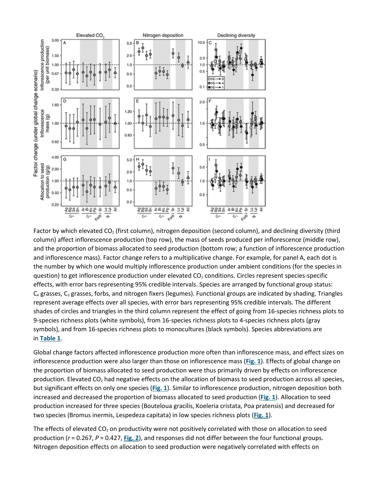

Factor by which elevated  $CO<sub>2</sub>$  (first column), nitrogen deposition (second column), and declining diversity (third column) affect inflorescence production (top row), the mass of seeds produced per inflorescence (middle row), and the proportion of biomass allocated to seed production (bottom row; a function of inflorescence production and inflorescence mass). Factor change refers to a multiplicative change. For example, for panel A, each dot is the number by which one would multiply inflorescence production under ambient conditions (for the species in question) to get inflorescence production under elevated  $CO<sub>2</sub>$  conditions. Circles represent species-specific effects, with error bars representing 95% credible intervals. Species are arranged by functional group status:  $C_4$  grasses,  $C_3$  grasses, forbs, and nitrogen fixers (legumes). Functional groups are indicated by shading. Triangles represent average effects over all species, with error bars representing 95% credible intervals. The different shades of circles and triangles in the third column represent the effect of going from 16-species richness plots to 9-species richness plots (white symbols), from 16-species richness plots to 4-species richness plots (gray symbols), and from 16-species richness plots to monocultures (black symbols). Species abbreviations are in **[Table 1](https://esajournals.onlinelibrary.wiley.com/doi/full/10.1890/07-1351.1#i0012-9658-90-7-1810-t01)**.

Global change factors affected inflorescence production more often than inflorescence mass, and effect sizes on inflorescence production were also larger than those on inflorescence mass (**[Fig. 1](https://esajournals.onlinelibrary.wiley.com/doi/full/10.1890/07-1351.1#i0012-9658-90-7-1810-f01)**). Effects of global change on the proportion of biomass allocated to seed production were thus primarily driven by effects on inflorescence production. Elevated CO<sub>2</sub> had negative effects on the allocation of biomass to seed production across all species, but significant effects on only one species (**[Fig. 1](https://esajournals.onlinelibrary.wiley.com/doi/full/10.1890/07-1351.1#i0012-9658-90-7-1810-f01)**). Similar to inflorescence production, nitrogen deposition both increased and decreased the proportion of biomass allocated to seed production (**[Fig. 1](https://esajournals.onlinelibrary.wiley.com/doi/full/10.1890/07-1351.1#i0012-9658-90-7-1810-f01)**). Allocation to seed production increased for three species (Bouteloua gracilis, Koeleria cristata, Poa pratensis) and decreased for two species (Bromus inermis, Lespedeza capitata) in low species richness plots (**[Fig. 1](https://esajournals.onlinelibrary.wiley.com/doi/full/10.1890/07-1351.1#i0012-9658-90-7-1810-f01)**).

The effects of elevated  $CO<sub>2</sub>$  on productivity were not positively correlated with those on allocation to seed production (*r* = 0.267, *P* = 0.427, **[Fig. 2](https://esajournals.onlinelibrary.wiley.com/doi/full/10.1890/07-1351.1#i0012-9658-90-7-1810-f02)**), and responses did not differ between the four functional groups. Nitrogen deposition effects on allocation to seed production were negatively correlated with effects on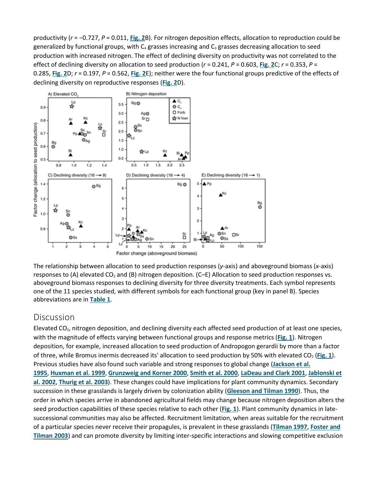productivity (*r* = −0.727, *P* = 0.011, **[Fig. 2](https://esajournals.onlinelibrary.wiley.com/doi/full/10.1890/07-1351.1#i0012-9658-90-7-1810-f02)**B). For nitrogen deposition effects, allocation to reproduction could be generalized by functional groups, with  $C_4$  grasses increasing and  $C_3$  grasses decreasing allocation to seed production with increased nitrogen. The effect of declining diversity on productivity was not correlated to the effect of declining diversity on allocation to seed production (*r* = 0.241, *P* = 0.603, **[Fig. 2](https://esajournals.onlinelibrary.wiley.com/doi/full/10.1890/07-1351.1#i0012-9658-90-7-1810-f02)**C; *r* = 0.353, *P* = 0.285, **[Fig. 2](https://esajournals.onlinelibrary.wiley.com/doi/full/10.1890/07-1351.1#i0012-9658-90-7-1810-f02)**D; *r* = 0.197, *P* = 0.562, **[Fig. 2](https://esajournals.onlinelibrary.wiley.com/doi/full/10.1890/07-1351.1#i0012-9658-90-7-1810-f02)**E); neither were the four functional groups predictive of the effects of declining diversity on reproductive responses (**[Fig. 2](https://esajournals.onlinelibrary.wiley.com/doi/full/10.1890/07-1351.1#i0012-9658-90-7-1810-f02)**D).



The relationship between allocation to seed production responses (*y*-axis) and aboveground biomass (*x*-axis) responses to (A) elevated  $CO<sub>2</sub>$  and (B) nitrogen deposition. (C–E) Allocation to seed production responses vs. aboveground biomass responses to declining diversity for three diversity treatments. Each symbol represents one of the 11 species studied, with different symbols for each functional group (key in panel B). Species abbreviations are in **[Table 1](https://esajournals.onlinelibrary.wiley.com/doi/full/10.1890/07-1351.1#i0012-9658-90-7-1810-t01)**.

#### **Discussion**

Elevated CO<sub>2</sub>, nitrogen deposition, and declining diversity each affected seed production of at least one species, with the magnitude of effects varying between functional groups and response metrics (**[Fig. 1](https://esajournals.onlinelibrary.wiley.com/doi/full/10.1890/07-1351.1#i0012-9658-90-7-1810-f01)**). Nitrogen deposition, for example, increased allocation to seed production of Andropogon gerardii by more than a factor of three, while Bromus inermis decreased its' allocation to seed production by 50% with elevated CO<sub>2</sub> ([Fig. 1](https://esajournals.onlinelibrary.wiley.com/doi/full/10.1890/07-1351.1#i0012-9658-90-7-1810-f01)). Previous studies have also found such variable and strong responses to global change (**[Jackson et al.](https://esajournals.onlinelibrary.wiley.com/doi/full/10.1890/07-1351.1#i0012-9658-90-7-1810-Jackson1)  [1995](https://esajournals.onlinelibrary.wiley.com/doi/full/10.1890/07-1351.1#i0012-9658-90-7-1810-Jackson1)**, **[Huxman et al. 1999](https://esajournals.onlinelibrary.wiley.com/doi/full/10.1890/07-1351.1#i0012-9658-90-7-1810-Huxman1)**, **[Grunzweig and Korner 2000](https://esajournals.onlinelibrary.wiley.com/doi/full/10.1890/07-1351.1#i0012-9658-90-7-1810-Grunzweig1)**, **[Smith et al. 2000](https://esajournals.onlinelibrary.wiley.com/doi/full/10.1890/07-1351.1#i0012-9658-90-7-1810-Smith1)**, **[LaDeau and Clark 2001](https://esajournals.onlinelibrary.wiley.com/doi/full/10.1890/07-1351.1#i0012-9658-90-7-1810-LaDeau1)**, **[Jablonski et](https://esajournals.onlinelibrary.wiley.com/doi/full/10.1890/07-1351.1#i0012-9658-90-7-1810-Jablonski1)  [al. 2002](https://esajournals.onlinelibrary.wiley.com/doi/full/10.1890/07-1351.1#i0012-9658-90-7-1810-Jablonski1)**, **[Thurig et al. 2003](https://esajournals.onlinelibrary.wiley.com/doi/full/10.1890/07-1351.1#i0012-9658-90-7-1810-Thurig1)**). These changes could have implications for plant community dynamics. Secondary succession in these grasslands is largely driven by colonization ability (**[Gleeson and Tilman 1990](https://esajournals.onlinelibrary.wiley.com/doi/full/10.1890/07-1351.1#i0012-9658-90-7-1810-Gleeson1)**). Thus, the order in which species arrive in abandoned agricultural fields may change because nitrogen deposition alters the seed production capabilities of these species relative to each other (**[Fig. 1](https://esajournals.onlinelibrary.wiley.com/doi/full/10.1890/07-1351.1#i0012-9658-90-7-1810-f01)**). Plant community dynamics in latesuccessional communities may also be affected. Recruitment limitation, when areas suitable for the recruitment of a particular species never receive their propagules, is prevalent in these grasslands (**[Tilman 1997](https://esajournals.onlinelibrary.wiley.com/doi/full/10.1890/07-1351.1#i0012-9658-90-7-1810-Tilman2)**, **[Foster and](https://esajournals.onlinelibrary.wiley.com/doi/full/10.1890/07-1351.1#i0012-9658-90-7-1810-Foster1)  [Tilman 2003](https://esajournals.onlinelibrary.wiley.com/doi/full/10.1890/07-1351.1#i0012-9658-90-7-1810-Foster1)**) and can promote diversity by limiting inter-specific interactions and slowing competitive exclusion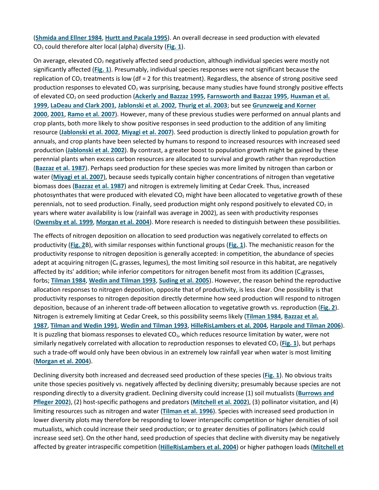(**[Shmida and Ellner](https://esajournals.onlinelibrary.wiley.com/doi/full/10.1890/07-1351.1#i0012-9658-90-7-1810-Shmida1) 1984**, **[Hurtt and Pacala 1995](https://esajournals.onlinelibrary.wiley.com/doi/full/10.1890/07-1351.1#i0012-9658-90-7-1810-Hurtt1)**). An overall decrease in seed production with elevated CO2 could therefore alter local (alpha) diversity (**[Fig. 1](https://esajournals.onlinelibrary.wiley.com/doi/full/10.1890/07-1351.1#i0012-9658-90-7-1810-f01)**).

On average, elevated  $CO<sub>2</sub>$  negatively affected seed production, although individual species were mostly not significantly affected (**[Fig. 1](https://esajournals.onlinelibrary.wiley.com/doi/full/10.1890/07-1351.1#i0012-9658-90-7-1810-f01)**). Presumably, individual species responses were not significant because the replication of  $CO<sub>2</sub>$  treatments is low (df = 2 for this treatment). Regardless, the absence of strong positive seed production responses to elevated CO<sub>2</sub> was surprising, because many studies have found strongly positive effects of elevated CO2 on seed production (**[Ackerly and Bazzaz 1995](https://esajournals.onlinelibrary.wiley.com/doi/full/10.1890/07-1351.1#i0012-9658-90-7-1810-Ackerly1)**, **[Farnsworth and Bazzaz 1995](https://esajournals.onlinelibrary.wiley.com/doi/full/10.1890/07-1351.1#i0012-9658-90-7-1810-Farnsworth1)**, **[Huxman et al.](https://esajournals.onlinelibrary.wiley.com/doi/full/10.1890/07-1351.1#i0012-9658-90-7-1810-Huxman1)  [1999](https://esajournals.onlinelibrary.wiley.com/doi/full/10.1890/07-1351.1#i0012-9658-90-7-1810-Huxman1)**, **[LaDeau and Clark 2001](https://esajournals.onlinelibrary.wiley.com/doi/full/10.1890/07-1351.1#i0012-9658-90-7-1810-LaDeau1)**, **[Jablonski et al. 2002](https://esajournals.onlinelibrary.wiley.com/doi/full/10.1890/07-1351.1#i0012-9658-90-7-1810-Jablonski1)**, **[Thurig et al. 2003](https://esajournals.onlinelibrary.wiley.com/doi/full/10.1890/07-1351.1#i0012-9658-90-7-1810-Thurig1)**; but see **[Grunzweig and Korner](https://esajournals.onlinelibrary.wiley.com/doi/full/10.1890/07-1351.1#i0012-9658-90-7-1810-Grunzweig1)  [2000](https://esajournals.onlinelibrary.wiley.com/doi/full/10.1890/07-1351.1#i0012-9658-90-7-1810-Grunzweig1)**, **[2001](https://esajournals.onlinelibrary.wiley.com/doi/full/10.1890/07-1351.1#i0012-9658-90-7-1810-Grunzweig2)**, **[Ramo et al. 2007](https://esajournals.onlinelibrary.wiley.com/doi/full/10.1890/07-1351.1#i0012-9658-90-7-1810-Ramo1)**). However, many of these previous studies were performed on annual plants and crop plants, both more likely to show positive responses in seed production to the addition of any limiting resource (**[Jablonski et al. 2002](https://esajournals.onlinelibrary.wiley.com/doi/full/10.1890/07-1351.1#i0012-9658-90-7-1810-Jablonski1)**, **[Miyagi et al. 2007](https://esajournals.onlinelibrary.wiley.com/doi/full/10.1890/07-1351.1#i0012-9658-90-7-1810-Miyagi1)**). Seed production is directly linked to population growth for annuals, and crop plants have been selected by humans to respond to increased resources with increased seed production (**[Jablonski et al. 2002](https://esajournals.onlinelibrary.wiley.com/doi/full/10.1890/07-1351.1#i0012-9658-90-7-1810-Jablonski1)**). By contrast, a greater boost to population growth might be gained by these perennial plants when excess carbon resources are allocated to survival and growth rather than reproduction (**[Bazzaz et al. 1987](https://esajournals.onlinelibrary.wiley.com/doi/full/10.1890/07-1351.1#i0012-9658-90-7-1810-Bazzaz1)**). Perhaps seed production for these species was more limited by nitrogen than carbon or water (**[Miyagi et al. 2007](https://esajournals.onlinelibrary.wiley.com/doi/full/10.1890/07-1351.1#i0012-9658-90-7-1810-Miyagi1)**), because seeds typically contain higher concentrations of nitrogen than vegetative biomass does (**[Bazzaz et al. 1987](https://esajournals.onlinelibrary.wiley.com/doi/full/10.1890/07-1351.1#i0012-9658-90-7-1810-Bazzaz1)**) and nitrogen is extremely limiting at Cedar Creek. Thus, increased photosynthates that were produced with elevated  $CO<sub>2</sub>$  might have been allocated to vegetative growth of these perennials, not to seed production. Finally, seed production might only respond positively to elevated  $CO<sub>2</sub>$  in years where water availability is low (rainfall was average in 2002), as seen with productivity responses (**[Owensby et al. 1999](https://esajournals.onlinelibrary.wiley.com/doi/full/10.1890/07-1351.1#i0012-9658-90-7-1810-Owensby1)**, **[Morgan et al. 2004](https://esajournals.onlinelibrary.wiley.com/doi/full/10.1890/07-1351.1#i0012-9658-90-7-1810-Morgan1)**). More research is needed to distinguish between these possibilities.

The effects of nitrogen deposition on allocation to seed production was negatively correlated to effects on productivity (**[Fig. 2](https://esajournals.onlinelibrary.wiley.com/doi/full/10.1890/07-1351.1#i0012-9658-90-7-1810-f02)**B), with similar responses within functional groups (**[Fig. 1](https://esajournals.onlinelibrary.wiley.com/doi/full/10.1890/07-1351.1#i0012-9658-90-7-1810-f01)**). The mechanistic reason for the productivity response to nitrogen deposition is generally accepted: in competition, the abundance of species adept at acquiring nitrogen  $(C_4$  grasses, legumes), the most limiting soil resource in this habitat, are negatively affected by its' addition; while inferior competitors for nitrogen benefit most from its addition (C<sub>3</sub>grasses, forbs; **[Tilman 1984](https://esajournals.onlinelibrary.wiley.com/doi/full/10.1890/07-1351.1#i0012-9658-90-7-1810-Tilman1)**, **[Wedin and Tilman 1993](https://esajournals.onlinelibrary.wiley.com/doi/full/10.1890/07-1351.1#i0012-9658-90-7-1810-Wedin1)**, **[Suding et al. 2005](https://esajournals.onlinelibrary.wiley.com/doi/full/10.1890/07-1351.1#i0012-9658-90-7-1810-Suding1)**). However, the reason behind the reproductive allocation responses to nitrogen deposition, opposite that of productivity, is less clear. One possibility is that productivity responses to nitrogen deposition directly determine how seed production will respond to nitrogen deposition, because of an inherent trade-off between allocation to vegetative growth vs. reproduction (**[Fig. 2](https://esajournals.onlinelibrary.wiley.com/doi/full/10.1890/07-1351.1#i0012-9658-90-7-1810-f02)**). Nitrogen is extremely limiting at Cedar Creek, so this possibility seems likely (**[Tilman 1984](https://esajournals.onlinelibrary.wiley.com/doi/full/10.1890/07-1351.1#i0012-9658-90-7-1810-Tilman1)**, **[Bazzaz et al.](https://esajournals.onlinelibrary.wiley.com/doi/full/10.1890/07-1351.1#i0012-9658-90-7-1810-Bazzaz1)  [1987](https://esajournals.onlinelibrary.wiley.com/doi/full/10.1890/07-1351.1#i0012-9658-90-7-1810-Bazzaz1)**, **[Tilman and Wedin 1991](https://esajournals.onlinelibrary.wiley.com/doi/full/10.1890/07-1351.1#i0012-9658-90-7-1810-Tilman3)**, **[Wedin and Tilman 1993](https://esajournals.onlinelibrary.wiley.com/doi/full/10.1890/07-1351.1#i0012-9658-90-7-1810-Wedin1)**, **[HilleRisLambers et al. 2004](https://esajournals.onlinelibrary.wiley.com/doi/full/10.1890/07-1351.1#i0012-9658-90-7-1810-HilleRisLambers2)**, **[Harpole and Tilman 2006](https://esajournals.onlinelibrary.wiley.com/doi/full/10.1890/07-1351.1#i0012-9658-90-7-1810-Harpole1)**). It is puzzling that biomass responses to elevated  $CO<sub>2</sub>$ , which reduces resource limitation by water, were not similarly negatively correlated with allocation to reproduction responses to elevated CO<sub>2</sub> ([Fig. 1](https://esajournals.onlinelibrary.wiley.com/doi/full/10.1890/07-1351.1#i0012-9658-90-7-1810-f01)), but perhaps such a trade-off would only have been obvious in an extremely low rainfall year when water is most limiting (**[Morgan et al. 2004](https://esajournals.onlinelibrary.wiley.com/doi/full/10.1890/07-1351.1#i0012-9658-90-7-1810-Morgan1)**).

Declining diversity both increased and decreased seed production of these species (**[Fig. 1](https://esajournals.onlinelibrary.wiley.com/doi/full/10.1890/07-1351.1#i0012-9658-90-7-1810-f01)**). No obvious traits unite those species positively vs. negatively affected by declining diversity; presumably because species are not responding directly to a diversity gradient. Declining diversity could increase (1) soil mutualists (**[Burrows and](https://esajournals.onlinelibrary.wiley.com/doi/full/10.1890/07-1351.1#i0012-9658-90-7-1810-Burrows1)  [Pfleger 2002](https://esajournals.onlinelibrary.wiley.com/doi/full/10.1890/07-1351.1#i0012-9658-90-7-1810-Burrows1)**), (2) host-specific pathogens and predators (**[Mitchell et al. 2002](https://esajournals.onlinelibrary.wiley.com/doi/full/10.1890/07-1351.1#i0012-9658-90-7-1810-Mitchell1)**), (3) pollinator visitation, and (4) limiting resources such as nitrogen and water (**[Tilman et al. 1996](https://esajournals.onlinelibrary.wiley.com/doi/full/10.1890/07-1351.1#i0012-9658-90-7-1810-Tilman4)**). Species with increased seed production in lower diversity plots may therefore be responding to lower interspecific competition or higher densities of soil mutualists, which could increase their seed production; or to greater densities of pollinators (which could increase seed set). On the other hand, seed production of species that decline with diversity may be negatively affected by greater intraspecific competition (**[HilleRisLambers et al. 2004](https://esajournals.onlinelibrary.wiley.com/doi/full/10.1890/07-1351.1#i0012-9658-90-7-1810-HilleRisLambers2)**) or higher pathogen loads (**[Mitchell et](https://esajournals.onlinelibrary.wiley.com/doi/full/10.1890/07-1351.1#i0012-9658-90-7-1810-Mitchell1)**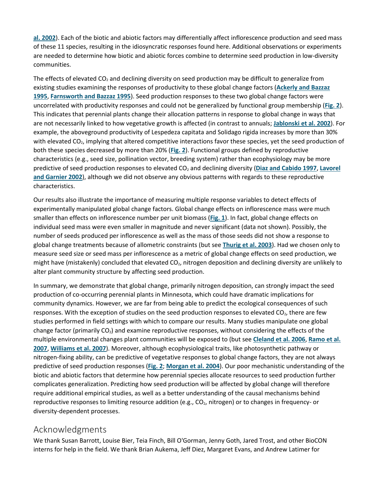**[al. 2002](https://esajournals.onlinelibrary.wiley.com/doi/full/10.1890/07-1351.1#i0012-9658-90-7-1810-Mitchell1)**). Each of the biotic and abiotic factors may differentially affect inflorescence production and seed mass of these 11 species, resulting in the idiosyncratic responses found here. Additional observations or experiments are needed to determine how biotic and abiotic forces combine to determine seed production in low-diversity communities.

The effects of elevated  $CO<sub>2</sub>$  and declining diversity on seed production may be difficult to generalize from existing studies examining the responses of productivity to these global change factors (**[Ackerly and Bazzaz](https://esajournals.onlinelibrary.wiley.com/doi/full/10.1890/07-1351.1#i0012-9658-90-7-1810-Ackerly1)  [1995](https://esajournals.onlinelibrary.wiley.com/doi/full/10.1890/07-1351.1#i0012-9658-90-7-1810-Ackerly1)**, **[Farnsworth and Bazzaz 1995](https://esajournals.onlinelibrary.wiley.com/doi/full/10.1890/07-1351.1#i0012-9658-90-7-1810-Farnsworth1)**). Seed production responses to these two global change factors were uncorrelated with productivity responses and could not be generalized by functional group membership (**[Fig. 2](https://esajournals.onlinelibrary.wiley.com/doi/full/10.1890/07-1351.1#i0012-9658-90-7-1810-f02)**). This indicates that perennial plants change their allocation patterns in response to global change in ways that are not necessarily linked to how vegetative growth is affected (in contrast to annuals; **[Jablonski et al. 2002](https://esajournals.onlinelibrary.wiley.com/doi/full/10.1890/07-1351.1#i0012-9658-90-7-1810-Jablonski1)**). For example, the aboveground productivity of Lespedeza capitata and Solidago rigida increases by more than 30% with elevated CO<sub>2</sub>, implying that altered competitive interactions favor these species, yet the seed production of both these species decreased by more than 20% (**[Fig. 2](https://esajournals.onlinelibrary.wiley.com/doi/full/10.1890/07-1351.1#i0012-9658-90-7-1810-f02)**). Functional groups defined by reproductive characteristics (e.g., seed size, pollination vector, breeding system) rather than ecophysiology may be more predictive of seed production responses to elevated CO2 and declining diversity (**[Diaz and Cabido 1997](https://esajournals.onlinelibrary.wiley.com/doi/full/10.1890/07-1351.1#i0012-9658-90-7-1810-Diaz1)**, **[Lavorel](https://esajournals.onlinelibrary.wiley.com/doi/full/10.1890/07-1351.1#i0012-9658-90-7-1810-Lavorel1)  [and Garnier 2002](https://esajournals.onlinelibrary.wiley.com/doi/full/10.1890/07-1351.1#i0012-9658-90-7-1810-Lavorel1)**), although we did not observe any obvious patterns with regards to these reproductive characteristics.

Our results also illustrate the importance of measuring multiple response variables to detect effects of experimentally manipulated global change factors. Global change effects on inflorescence mass were much smaller than effects on inflorescence number per unit biomass (**[Fig. 1](https://esajournals.onlinelibrary.wiley.com/doi/full/10.1890/07-1351.1#i0012-9658-90-7-1810-f01)**). In fact, global change effects on individual seed mass were even smaller in magnitude and never significant (data not shown). Possibly, the number of seeds produced per inflorescence as well as the mass of those seeds did not show a response to global change treatments because of allometric constraints (but see **[Thurig et al. 2003](https://esajournals.onlinelibrary.wiley.com/doi/full/10.1890/07-1351.1#i0012-9658-90-7-1810-Thurig1)**). Had we chosen only to measure seed size or seed mass per inflorescence as a metric of global change effects on seed production, we might have (mistakenly) concluded that elevated  $CO<sub>2</sub>$ , nitrogen deposition and declining diversity are unlikely to alter plant community structure by affecting seed production.

In summary, we demonstrate that global change, primarily nitrogen deposition, can strongly impact the seed production of co-occurring perennial plants in Minnesota, which could have dramatic implications for community dynamics. However, we are far from being able to predict the ecological consequences of such responses. With the exception of studies on the seed production responses to elevated  $CO<sub>2</sub>$ , there are few studies performed in field settings with which to compare our results. Many studies manipulate one global change factor (primarily  $CO<sub>2</sub>$ ) and examine reproductive responses, without considering the effects of the multiple environmental changes plant communities will be exposed to (but see **[Cleland et al. 2006](https://esajournals.onlinelibrary.wiley.com/doi/full/10.1890/07-1351.1#i0012-9658-90-7-1810-Cleland1)**, **[Ramo et al.](https://esajournals.onlinelibrary.wiley.com/doi/full/10.1890/07-1351.1#i0012-9658-90-7-1810-Ramo1)  [2007](https://esajournals.onlinelibrary.wiley.com/doi/full/10.1890/07-1351.1#i0012-9658-90-7-1810-Ramo1)**, **[Williams et al. 2007](https://esajournals.onlinelibrary.wiley.com/doi/full/10.1890/07-1351.1#i0012-9658-90-7-1810-Williams1)**). Moreover, although ecophysiological traits, like photosynthetic pathway or nitrogen-fixing ability, can be predictive of vegetative responses to global change factors, they are not always predictive of seed production responses (**[Fig. 2](https://esajournals.onlinelibrary.wiley.com/doi/full/10.1890/07-1351.1#i0012-9658-90-7-1810-f02)**; **[Morgan et al. 2004](https://esajournals.onlinelibrary.wiley.com/doi/full/10.1890/07-1351.1#i0012-9658-90-7-1810-Morgan1)**). Our poor mechanistic understanding of the biotic and abiotic factors that determine how perennial species allocate resources to seed production further complicates generalization. Predicting how seed production will be affected by global change will therefore require additional empirical studies, as well as a better understanding of the causal mechanisms behind reproductive responses to limiting resource addition (e.g.,  $CO<sub>2</sub>$ , nitrogen) or to changes in frequency- or diversity-dependent processes.

#### Acknowledgments

We thank Susan Barrott, Louise Bier, Teia Finch, Bill O'Gorman, Jenny Goth, Jared Trost, and other BioCON interns for help in the field. We thank Brian Aukema, Jeff Diez, Margaret Evans, and Andrew Latimer for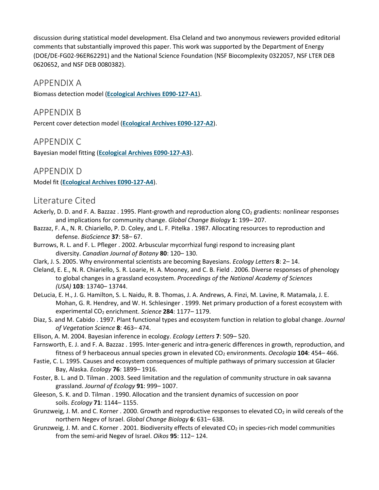discussion during statistical model development. Elsa Cleland and two anonymous reviewers provided editorial comments that substantially improved this paper. This work was supported by the Department of Energy (DOE/DE-FG02-96ER62291) and the National Science Foundation (NSF Biocomplexity 0322057, NSF LTER DEB 0620652, and NSF DEB 0080382).

#### APPENDIX A

Biomass detection model (**[Ecological Archives E090-127-A1](http://dx.doi.org/10.6084/m9.figshare.c.3301100)**).

#### APPENDIX B

Percent cover detection model (**[Ecological Archives E090-127-A2](http://dx.doi.org/10.6084/m9.figshare.c.3301100)**).

#### APPENDIX C

Bayesian model fitting (**[Ecological Archives E090-127-A3](http://dx.doi.org/10.6084/m9.figshare.c.3301100)**).

#### APPENDIX D

Model fit (**[Ecological Archives E090-127-A4](http://dx.doi.org/10.6084/m9.figshare.c.3301100)**).

#### Literature Cited

- Ackerly, D. D. and F. A. Bazzaz . 1995. Plant-growth and reproduction along CO<sub>2</sub> gradients: nonlinear responses and implications for community change. *Global Change Biology* **1**: 199– 207.
- Bazzaz, F. A., N. R. Chiariello, P. D. Coley, and L. F. Pitelka . 1987. Allocating resources to reproduction and defense. *BioScience* **37**: 58– 67.
- Burrows, R. L. and F. L. Pfleger . 2002. Arbuscular mycorrhizal fungi respond to increasing plant diversity. *Canadian Journal of Botany* **80**: 120– 130.
- Clark, J. S. 2005. Why environmental scientists are becoming Bayesians. *Ecology Letters* **8**: 2– 14.
- Cleland, E. E., N. R. Chiariello, S. R. Loarie, H. A. Mooney, and C. B. Field . 2006. Diverse responses of phenology to global changes in a grassland ecosystem. *Proceedings of the National Academy of Sciences (USA)* **103**: 13740– 13744.
- DeLucia, E. H., J. G. Hamilton, S. L. Naidu, R. B. Thomas, J. A. Andrews, A. Finzi, M. Lavine, R. Matamala, J. E. Mohan, G. R. Hendrey, and W. H. Schlesinger . 1999. Net primary production of a forest ecosystem with experimental CO<sub>2</sub> enrichment. *Science* 284: 1177-1179.
- Diaz, S. and M. Cabido . 1997. Plant functional types and ecosystem function in relation to global change. *Journal of Vegetation Science* **8**: 463– 474.
- Ellison, A. M. 2004. Bayesian inference in ecology. *Ecology Letters* **7**: 509– 520.
- Farnsworth, E. J. and F. A. Bazzaz . 1995. Inter-generic and intra-generic differences in growth, reproduction, and fitness of 9 herbaceous annual species grown in elevated CO<sub>2</sub> environments. *Oecologia* 104: 454–466.
- Fastie, C. L. 1995. Causes and ecosystem consequences of multiple pathways of primary succession at Glacier Bay, Alaska. *Ecology* **76**: 1899– 1916.
- Foster, B. L. and D. Tilman . 2003. Seed limitation and the regulation of community structure in oak savanna grassland. *Journal of Ecology* **91**: 999– 1007.
- Gleeson, S. K. and D. Tilman . 1990. Allocation and the transient dynamics of succession on poor soils. *Ecology* **71**: 1144– 1155.
- Grunzweig, J. M. and C. Korner . 2000. Growth and reproductive responses to elevated  $CO<sub>2</sub>$  in wild cereals of the northern Negev of Israel. *Global Change Biology* **6**: 631– 638.
- Grunzweig, J. M. and C. Korner . 2001. Biodiversity effects of elevated  $CO<sub>2</sub>$  in species-rich model communities from the semi-arid Negev of Israel. *Oikos* **95**: 112– 124.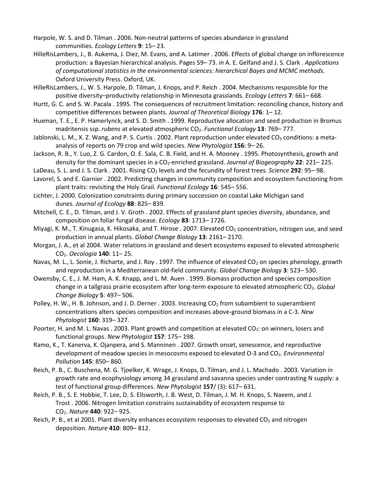- Harpole, W. S. and D. Tilman . 2006. Non-neutral patterns of species abundance in grassland communities. *Ecology Letters* **9**: 15– 23.
- HilleRisLambers, J., B. Aukema, J. Diez, M. Evans, and A. Latimer . 2006. Effects of global change on inflorescence production: a Bayesian hierarchical analysis. Pages 59– 73. *in* A. E. Gelfand and J. S. Clark . *Applications of computational statistics in the environmental sciences: hierarchical Bayes and MCMC methods*. Oxford University Press. Oxford, UK.
- HilleRisLambers, J., W. S. Harpole, D. Tilman, J. Knops, and P. Reich . 2004. Mechanisms responsible for the positive diversity–productivity relationship in Minnesota grasslands. *Ecology Letters* **7**: 661– 668.
- Hurtt, G. C. and S. W. Pacala . 1995. The consequences of recruitment limitation: reconciling chance, history and competitive differences between plants. *Journal of Theoretical Biology* **176**: 1– 12.
- Huxman, T. E., E. P. Hamerlynck, and S. D. Smith . 1999. Reproductive allocation and seed production in Bromus madritensis ssp. *rubens* at elevated atmospheric CO2. *Functional Ecology* **13**: 769– 777.
- Jablonski, L. M., X. Z. Wang, and P. S. Curtis . 2002. Plant reproduction under elevated  $CO<sub>2</sub>$  conditions: a metaanalysis of reports on 79 crop and wild species. *New Phytologist* **156**: 9– 26.
- Jackson, R. B., Y. Luo, Z. G. Cardon, O. E. Sala, C. B. Field, and H. A. Mooney . 1995. Photosynthesis, growth and density for the dominant species in a CO<sub>2</sub>-enriched grassland. *Journal of Biogeography* **22**: 221–225.
- LaDeau, S. L. and J. S. Clark . 2001. Rising CO2 levels and the fecundity of forest trees. *Science* **292**: 95– 98.
- Lavorel, S. and E. Garnier . 2002. Predicting changes in community composition and ecosystem functioning from plant traits: revisiting the Holy Grail. *Functional Ecology* **16**: 545– 556.
- Lichter, J. 2000. Colonization constraints during primary succession on coastal Lake Michigan sand dunes. *Journal of Ecology* **88**: 825– 839.
- Mitchell, C. E., D. Tilman, and J. V. Groth . 2002. Effects of grassland plant species diversity, abundance, and composition on foliar fungal disease. *Ecology* **83**: 1713– 1726.
- Miyagi, K. M., T. Kinugasa, K. Hikosaka, and T. Hirose . 2007. Elevated  $CO<sub>2</sub>$  concentration, nitrogen use, and seed production in annual plants. *Global Change Biology* **13**: 2161– 2170.
- Morgan, J. A., et al 2004. Water relations in grassland and desert ecosystems exposed to elevated atmospheric CO2. *Oecologia* **140**: 11– 25.
- Navas, M. L., L. Sonie, J. Richarte, and J. Roy . 1997. The influence of elevated CO<sub>2</sub> on species phenology, growth and reproduction in a Mediterranean old-field community. *Global Change Biology* **3**: 523– 530.
- Owensby, C. E., J. M. Ham, A. K. Knapp, and L. M. Auen . 1999. Biomass production and species composition change in a tallgrass prairie ecosystem after long-term exposure to elevated atmospheric CO<sub>2</sub>. *Global Change Biology* **5**: 497– 506.
- Polley, H. W., H. B. Johnson, and J. D. Derner . 2003. Increasing  $CO<sub>2</sub>$  from subambient to superambient concentrations alters species composition and increases above-ground biomass in a C-3. *New Phytologist* **160**: 319– 327.
- Poorter, H. and M. L. Navas . 2003. Plant growth and competition at elevated CO<sub>2</sub>: on winners, losers and functional groups. *New Phytologist* **157**: 175– 198.
- Ramo, K., T. Kanerva, K. Ojanpera, and S. Manninen . 2007. Growth onset, senescence, and reproductive development of meadow species in mesocosms exposed to elevated O-3 and CO<sub>2</sub>. *Environmental Pollution* **145**: 850– 860.
- Reich, P. B., C. Buschena, M. G. Tjoelker, K. Wrage, J. Knops, D. Tilman, and J. L. Machado . 2003. Variation in growth rate and ecophysiology among 34 grassland and savanna species under contrasting N supply: a test of functional group differences. *New Phytologist* **157**/ (3): 617– 631.
- Reich, P. B., S. E. Hobbie, T. Lee, D. S. Ellsworth, J. B. West, D. Tilman, J. M. H. Knops, S. Naeem, and J. Trost . 2006. Nitrogen limitation constrains sustainability of ecosystem response to CO2. *Nature* **440**: 922– 925.
- Reich, P. B., et al 2001. Plant diversity enhances ecosystem responses to elevated CO<sub>2</sub> and nitrogen deposition. *Nature* **410**: 809– 812.